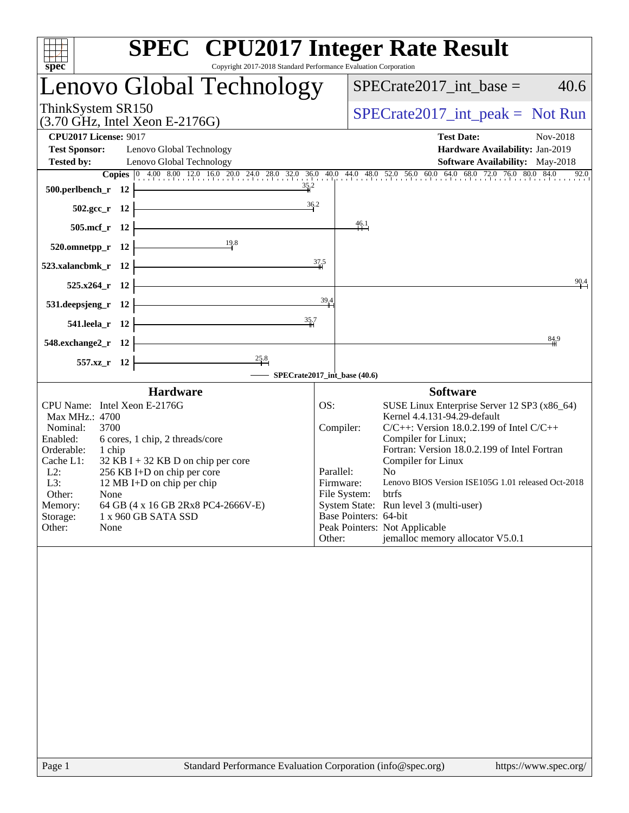| <b>SPEC<sup>®</sup></b> CPU2017 Integer Rate Result<br>$\overline{\text{spec}^*}$<br>Copyright 2017-2018 Standard Performance Evaluation Corporation                                                                                                                                                                                                                                                                    |                                                                                               |                                                                                                                                                                                                                                                                                                                                                                                                                                               |  |  |
|-------------------------------------------------------------------------------------------------------------------------------------------------------------------------------------------------------------------------------------------------------------------------------------------------------------------------------------------------------------------------------------------------------------------------|-----------------------------------------------------------------------------------------------|-----------------------------------------------------------------------------------------------------------------------------------------------------------------------------------------------------------------------------------------------------------------------------------------------------------------------------------------------------------------------------------------------------------------------------------------------|--|--|
| Lenovo Global Technology                                                                                                                                                                                                                                                                                                                                                                                                |                                                                                               | $SPECrate2017\_int\_base =$<br>40.6                                                                                                                                                                                                                                                                                                                                                                                                           |  |  |
| ThinkSystem SR150<br>$(3.70 \text{ GHz}, \text{Intel Xeon E-2176G})$                                                                                                                                                                                                                                                                                                                                                    |                                                                                               | $SPECTate2017\_int\_peak = Not Run$                                                                                                                                                                                                                                                                                                                                                                                                           |  |  |
| <b>CPU2017 License: 9017</b>                                                                                                                                                                                                                                                                                                                                                                                            |                                                                                               | <b>Test Date:</b><br>Nov-2018                                                                                                                                                                                                                                                                                                                                                                                                                 |  |  |
| <b>Test Sponsor:</b><br>Lenovo Global Technology<br><b>Tested by:</b><br>Lenovo Global Technology                                                                                                                                                                                                                                                                                                                       |                                                                                               | Hardware Availability: Jan-2019<br>Software Availability: May-2018                                                                                                                                                                                                                                                                                                                                                                            |  |  |
| <b>Copies</b> $\begin{bmatrix} 0 & 4.00 & 8.00 & 12.0 & 16.0 & 20.0 & 24.0 & 28.0 & 32.0 & 36.0 & 40.0 & 44.0 & 48.0 & 52.0 & 56.0 & 60.0 & 64.0 & 68.0 & 72.0 & 76.0 & 80.0 & 84.0 \end{bmatrix}$                                                                                                                                                                                                                      |                                                                                               | 92.0                                                                                                                                                                                                                                                                                                                                                                                                                                          |  |  |
| $\frac{35.2}{1}$<br>500.perlbench_r $12$ $\leftarrow$                                                                                                                                                                                                                                                                                                                                                                   |                                                                                               |                                                                                                                                                                                                                                                                                                                                                                                                                                               |  |  |
| 502.gcc_r 12 $\frac{36.2}{1}$                                                                                                                                                                                                                                                                                                                                                                                           |                                                                                               |                                                                                                                                                                                                                                                                                                                                                                                                                                               |  |  |
| $505.\text{mcf}_r$ 12                                                                                                                                                                                                                                                                                                                                                                                                   | $\frac{46.1}{4}$                                                                              |                                                                                                                                                                                                                                                                                                                                                                                                                                               |  |  |
| 520.omnetpp_r 12 $\frac{19.8}{1}$ <sup>8</sup>                                                                                                                                                                                                                                                                                                                                                                          |                                                                                               |                                                                                                                                                                                                                                                                                                                                                                                                                                               |  |  |
| 523.xalancbmk_r 12 $\overline{\qquad}$                                                                                                                                                                                                                                                                                                                                                                                  | 37.5                                                                                          |                                                                                                                                                                                                                                                                                                                                                                                                                                               |  |  |
| <u> 1989 - Johann Barn, mars eta bainar eta industrial eta industrial eta industrial eta industrial eta industria</u><br>$525.x264$ <sub>r</sub> 12                                                                                                                                                                                                                                                                     |                                                                                               | 90.4                                                                                                                                                                                                                                                                                                                                                                                                                                          |  |  |
| $531. \text{deepsjeng}_r$ $12$                                                                                                                                                                                                                                                                                                                                                                                          | $39^{4}$                                                                                      |                                                                                                                                                                                                                                                                                                                                                                                                                                               |  |  |
| 541.leela_r $12$ $\overline{\phantom{a}}$                                                                                                                                                                                                                                                                                                                                                                               |                                                                                               |                                                                                                                                                                                                                                                                                                                                                                                                                                               |  |  |
| $548$ .exchange2_r 12                                                                                                                                                                                                                                                                                                                                                                                                   |                                                                                               | 84,9                                                                                                                                                                                                                                                                                                                                                                                                                                          |  |  |
|                                                                                                                                                                                                                                                                                                                                                                                                                         |                                                                                               |                                                                                                                                                                                                                                                                                                                                                                                                                                               |  |  |
| dange 2_r 12<br>$\begin{array}{c c c c c} \hline & & & & & \text{25.8} & \\ \hline \end{array}$ 557.xz_r 12<br>$\begin{array}{c c c} & & & \text{25.8} & & \\ \hline & & & \text{SPECrate2017\_int\_base (40.6)} \end{array}$                                                                                                                                                                                           |                                                                                               |                                                                                                                                                                                                                                                                                                                                                                                                                                               |  |  |
| <b>Hardware</b><br>CPU Name: Intel Xeon E-2176G<br>Max MHz.: 4700<br>3700<br>Nominal:<br>Enabled:<br>6 cores, 1 chip, 2 threads/core<br>Orderable:<br>1 chip<br>Cache L1:<br>$32$ KB I + 32 KB D on chip per core<br>$L2$ :<br>256 KB I+D on chip per core<br>L3:<br>12 MB I+D on chip per chip<br>Other:<br>None<br>Memory:<br>64 GB (4 x 16 GB 2Rx8 PC4-2666V-E)<br>Storage:<br>1 x 960 GB SATA SSD<br>Other:<br>None | OS:<br>Compiler:<br>Parallel:<br>Firmware:<br>File System:<br>Base Pointers: 64-bit<br>Other: | <b>Software</b><br>SUSE Linux Enterprise Server 12 SP3 (x86_64)<br>Kernel 4.4.131-94.29-default<br>$C/C++$ : Version 18.0.2.199 of Intel $C/C++$<br>Compiler for Linux;<br>Fortran: Version 18.0.2.199 of Intel Fortran<br>Compiler for Linux<br>N <sub>o</sub><br>Lenovo BIOS Version ISE105G 1.01 released Oct-2018<br>btrfs<br>System State: Run level 3 (multi-user)<br>Peak Pointers: Not Applicable<br>jemalloc memory allocator V5.0.1 |  |  |
|                                                                                                                                                                                                                                                                                                                                                                                                                         |                                                                                               |                                                                                                                                                                                                                                                                                                                                                                                                                                               |  |  |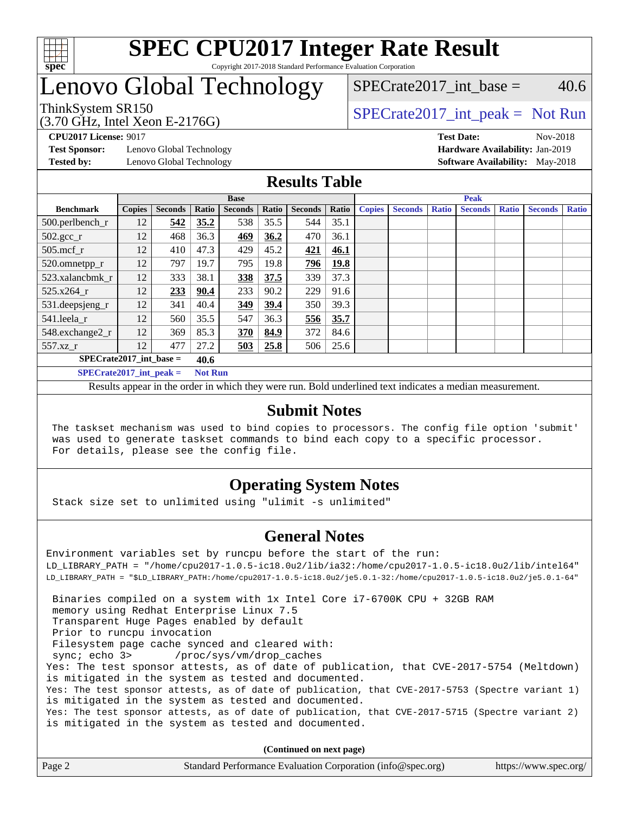

## Lenovo Global Technology

### SPECrate2017 int\_base =  $40.6$

(3.70 GHz, Intel Xeon E-2176G)

ThinkSystem SR150<br>  $SPECTR_{15}$  [SPECrate2017\\_int\\_peak =](http://www.spec.org/auto/cpu2017/Docs/result-fields.html#SPECrate2017intpeak) Not Run

**[Test Sponsor:](http://www.spec.org/auto/cpu2017/Docs/result-fields.html#TestSponsor)** Lenovo Global Technology **[Hardware Availability:](http://www.spec.org/auto/cpu2017/Docs/result-fields.html#HardwareAvailability)** Jan-2019

**[CPU2017 License:](http://www.spec.org/auto/cpu2017/Docs/result-fields.html#CPU2017License)** 9017 **[Test Date:](http://www.spec.org/auto/cpu2017/Docs/result-fields.html#TestDate)** Nov-2018 **[Tested by:](http://www.spec.org/auto/cpu2017/Docs/result-fields.html#Testedby)** Lenovo Global Technology **[Software Availability:](http://www.spec.org/auto/cpu2017/Docs/result-fields.html#SoftwareAvailability)** May-2018

### **[Results Table](http://www.spec.org/auto/cpu2017/Docs/result-fields.html#ResultsTable)**

|                             | <b>Base</b>   |                |                |                |       | <b>Peak</b>    |             |               |                |              |                |              |                |              |
|-----------------------------|---------------|----------------|----------------|----------------|-------|----------------|-------------|---------------|----------------|--------------|----------------|--------------|----------------|--------------|
| <b>Benchmark</b>            | <b>Copies</b> | <b>Seconds</b> | Ratio          | <b>Seconds</b> | Ratio | <b>Seconds</b> | Ratio       | <b>Copies</b> | <b>Seconds</b> | <b>Ratio</b> | <b>Seconds</b> | <b>Ratio</b> | <b>Seconds</b> | <b>Ratio</b> |
| 500.perlbench_r             | 12            | 542            | 35.2           | 538            | 35.5  | 544            | 35.1        |               |                |              |                |              |                |              |
| $502.\text{gcc\_r}$         | 12            | 468            | 36.3           | 469            | 36.2  | 470            | 36.1        |               |                |              |                |              |                |              |
| $505$ .mcf r                | 12            | 410            | 47.3           | 429            | 45.2  | 421            | 46.1        |               |                |              |                |              |                |              |
| 520.omnetpp_r               | 12            | 797            | 19.7           | 795            | 19.8  | 796            | <b>19.8</b> |               |                |              |                |              |                |              |
| 523.xalancbmk r             | 12            | 333            | 38.1           | 338            | 37.5  | 339            | 37.3        |               |                |              |                |              |                |              |
| 525.x264 r                  | 12            | 233            | 90.4           | 233            | 90.2  | 229            | 91.6        |               |                |              |                |              |                |              |
| 531.deepsjeng_r             | 12            | 341            | 40.4           | 349            | 39.4  | 350            | 39.3        |               |                |              |                |              |                |              |
| 541.leela_r                 | 12            | 560            | 35.5           | 547            | 36.3  | 556            | 35.7        |               |                |              |                |              |                |              |
| 548.exchange2_r             | 12            | 369            | 85.3           | 370            | 84.9  | 372            | 84.6        |               |                |              |                |              |                |              |
| 557.xz_r                    | 12            | 477            | 27.2           | 503            | 25.8  | 506            | 25.6        |               |                |              |                |              |                |              |
| $SPECrate2017$ int base =   |               |                | 40.6           |                |       |                |             |               |                |              |                |              |                |              |
| $SPECrate2017\_int\_peak =$ |               |                | <b>Not Run</b> |                |       |                |             |               |                |              |                |              |                |              |

Results appear in the [order in which they were run](http://www.spec.org/auto/cpu2017/Docs/result-fields.html#RunOrder). Bold underlined text [indicates a median measurement](http://www.spec.org/auto/cpu2017/Docs/result-fields.html#Median).

### **[Submit Notes](http://www.spec.org/auto/cpu2017/Docs/result-fields.html#SubmitNotes)**

 The taskset mechanism was used to bind copies to processors. The config file option 'submit' was used to generate taskset commands to bind each copy to a specific processor. For details, please see the config file.

### **[Operating System Notes](http://www.spec.org/auto/cpu2017/Docs/result-fields.html#OperatingSystemNotes)**

Stack size set to unlimited using "ulimit -s unlimited"

### **[General Notes](http://www.spec.org/auto/cpu2017/Docs/result-fields.html#GeneralNotes)**

Environment variables set by runcpu before the start of the run: LD\_LIBRARY\_PATH = "/home/cpu2017-1.0.5-ic18.0u2/lib/ia32:/home/cpu2017-1.0.5-ic18.0u2/lib/intel64" LD\_LIBRARY\_PATH = "\$LD\_LIBRARY\_PATH:/home/cpu2017-1.0.5-ic18.0u2/je5.0.1-32:/home/cpu2017-1.0.5-ic18.0u2/je5.0.1-64" Binaries compiled on a system with 1x Intel Core i7-6700K CPU + 32GB RAM memory using Redhat Enterprise Linux 7.5 Transparent Huge Pages enabled by default Prior to runcpu invocation Filesystem page cache synced and cleared with: sync; echo 3> /proc/sys/vm/drop\_caches Yes: The test sponsor attests, as of date of publication, that CVE-2017-5754 (Meltdown) is mitigated in the system as tested and documented. Yes: The test sponsor attests, as of date of publication, that CVE-2017-5753 (Spectre variant 1) is mitigated in the system as tested and documented. Yes: The test sponsor attests, as of date of publication, that CVE-2017-5715 (Spectre variant 2) is mitigated in the system as tested and documented.

**(Continued on next page)**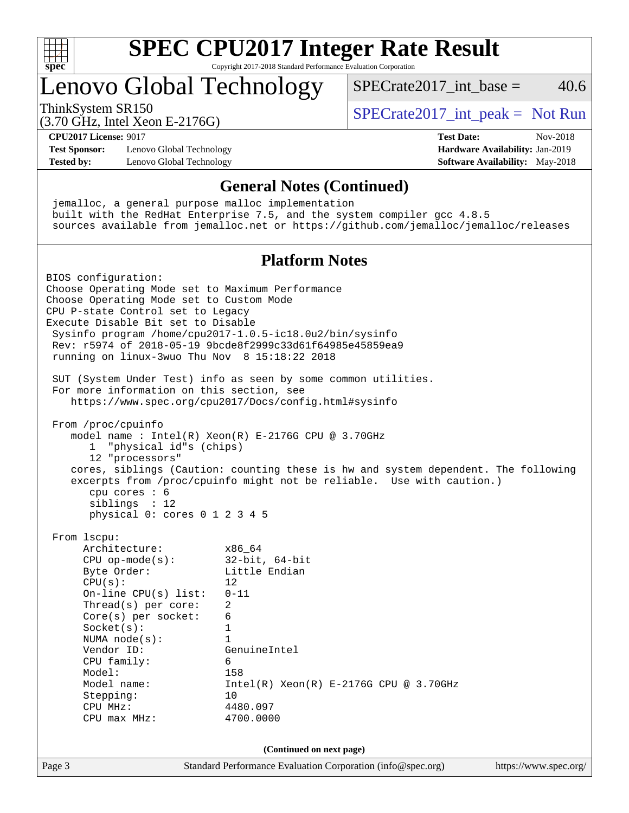

# **[SPEC CPU2017 Integer Rate Result](http://www.spec.org/auto/cpu2017/Docs/result-fields.html#SPECCPU2017IntegerRateResult)**

Copyright 2017-2018 Standard Performance Evaluation Corporation

### Lenovo Global Technology

ThinkSystem SR150<br>  $SPECTR_{15}$  [SPECrate2017\\_int\\_peak =](http://www.spec.org/auto/cpu2017/Docs/result-fields.html#SPECrate2017intpeak) Not Run

 $SPECrate2017\_int\_base = 40.6$ 

(3.70 GHz, Intel Xeon E-2176G)

**[CPU2017 License:](http://www.spec.org/auto/cpu2017/Docs/result-fields.html#CPU2017License)** 9017 **[Test Date:](http://www.spec.org/auto/cpu2017/Docs/result-fields.html#TestDate)** Nov-2018 **[Test Sponsor:](http://www.spec.org/auto/cpu2017/Docs/result-fields.html#TestSponsor)** Lenovo Global Technology **[Hardware Availability:](http://www.spec.org/auto/cpu2017/Docs/result-fields.html#HardwareAvailability)** Jan-2019 **[Tested by:](http://www.spec.org/auto/cpu2017/Docs/result-fields.html#Testedby)** Lenovo Global Technology **[Software Availability:](http://www.spec.org/auto/cpu2017/Docs/result-fields.html#SoftwareAvailability)** May-2018

### **[General Notes \(Continued\)](http://www.spec.org/auto/cpu2017/Docs/result-fields.html#GeneralNotes)**

 jemalloc, a general purpose malloc implementation built with the RedHat Enterprise 7.5, and the system compiler gcc 4.8.5 sources available from jemalloc.net or <https://github.com/jemalloc/jemalloc/releases>

#### **[Platform Notes](http://www.spec.org/auto/cpu2017/Docs/result-fields.html#PlatformNotes)**

Page 3 Standard Performance Evaluation Corporation [\(info@spec.org\)](mailto:info@spec.org) <https://www.spec.org/> BIOS configuration: Choose Operating Mode set to Maximum Performance Choose Operating Mode set to Custom Mode CPU P-state Control set to Legacy Execute Disable Bit set to Disable Sysinfo program /home/cpu2017-1.0.5-ic18.0u2/bin/sysinfo Rev: r5974 of 2018-05-19 9bcde8f2999c33d61f64985e45859ea9 running on linux-3wuo Thu Nov 8 15:18:22 2018 SUT (System Under Test) info as seen by some common utilities. For more information on this section, see <https://www.spec.org/cpu2017/Docs/config.html#sysinfo> From /proc/cpuinfo model name : Intel(R) Xeon(R) E-2176G CPU @ 3.70GHz 1 "physical id"s (chips) 12 "processors" cores, siblings (Caution: counting these is hw and system dependent. The following excerpts from /proc/cpuinfo might not be reliable. Use with caution.) cpu cores : 6 siblings : 12 physical 0: cores 0 1 2 3 4 5 From lscpu: Architecture: x86\_64 CPU op-mode(s): 32-bit, 64-bit Byte Order: Little Endian  $CPU(s):$  12 On-line CPU(s) list: 0-11 Thread(s) per core: 2 Core(s) per socket: 6 Socket(s): 1 NUMA node(s): 1 Vendor ID: GenuineIntel CPU family: 6 Model: 158 Model name: Intel(R) Xeon(R) E-2176G CPU @ 3.70GHz Stepping: 10 CPU MHz: 4480.097 CPU max MHz: 4700.0000 **(Continued on next page)**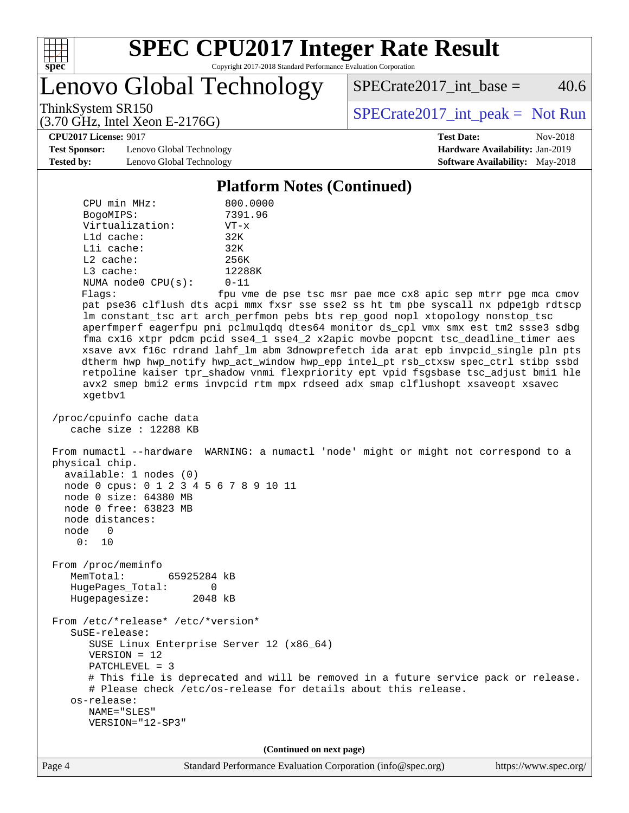

Lenovo Global Technology

 $SPECTate2017\_int\_base = 40.6$ 

(3.70 GHz, Intel Xeon E-2176G)

ThinkSystem SR150<br>  $SPECTR_{15}$  [SPECrate2017\\_int\\_peak =](http://www.spec.org/auto/cpu2017/Docs/result-fields.html#SPECrate2017intpeak) Not Run

**[CPU2017 License:](http://www.spec.org/auto/cpu2017/Docs/result-fields.html#CPU2017License)** 9017 **[Test Date:](http://www.spec.org/auto/cpu2017/Docs/result-fields.html#TestDate)** Nov-2018

**[Test Sponsor:](http://www.spec.org/auto/cpu2017/Docs/result-fields.html#TestSponsor)** Lenovo Global Technology **[Hardware Availability:](http://www.spec.org/auto/cpu2017/Docs/result-fields.html#HardwareAvailability)** Jan-2019 **[Tested by:](http://www.spec.org/auto/cpu2017/Docs/result-fields.html#Testedby)** Lenovo Global Technology **[Software Availability:](http://www.spec.org/auto/cpu2017/Docs/result-fields.html#SoftwareAvailability)** May-2018

#### **[Platform Notes \(Continued\)](http://www.spec.org/auto/cpu2017/Docs/result-fields.html#PlatformNotes)**

| CPU min MHz:            | 800.0000     |
|-------------------------|--------------|
| BogoMIPS:               | 7391.96      |
| Virtualization:         | $VT - x$     |
| $L1d$ cache:            | 32K          |
| $L1i$ cache:            | 32K          |
| $L2$ cache:             | 256K         |
| $L3$ cache:             | 12288K       |
| NUMA $node0$ $CPU(s)$ : | $0 - 11$     |
| Flans:                  | fnu vme de n |

Flags: fpu vme de pse tsc msr pae mce cx8 apic sep mtrr pge mca cmov pat pse36 clflush dts acpi mmx fxsr sse sse2 ss ht tm pbe syscall nx pdpe1gb rdtscp lm constant\_tsc art arch\_perfmon pebs bts rep\_good nopl xtopology nonstop\_tsc aperfmperf eagerfpu pni pclmulqdq dtes64 monitor ds\_cpl vmx smx est tm2 ssse3 sdbg fma cx16 xtpr pdcm pcid sse4\_1 sse4\_2 x2apic movbe popcnt tsc\_deadline\_timer aes xsave avx f16c rdrand lahf\_lm abm 3dnowprefetch ida arat epb invpcid\_single pln pts dtherm hwp hwp\_notify hwp\_act\_window hwp\_epp intel\_pt rsb\_ctxsw spec\_ctrl stibp ssbd retpoline kaiser tpr\_shadow vnmi flexpriority ept vpid fsgsbase tsc\_adjust bmi1 hle avx2 smep bmi2 erms invpcid rtm mpx rdseed adx smap clflushopt xsaveopt xsavec xgetbv1

```
 /proc/cpuinfo cache data
    cache size : 12288 KB
```
 From numactl --hardware WARNING: a numactl 'node' might or might not correspond to a physical chip.

 available: 1 nodes (0) node 0 cpus: 0 1 2 3 4 5 6 7 8 9 10 11

 node 0 size: 64380 MB node 0 free: 63823 MB

 node 0 0: 10

node distances:

 From /proc/meminfo MemTotal: 65925284 kB HugePages\_Total: 0 Hugepagesize: 2048 kB

 From /etc/\*release\* /etc/\*version\* SuSE-release: SUSE Linux Enterprise Server 12 (x86\_64)

 VERSION = 12 PATCHLEVEL = 3

 NAME="SLES" VERSION="12-SP3"

 # This file is deprecated and will be removed in a future service pack or release. # Please check /etc/os-release for details about this release. os-release:

**(Continued on next page)**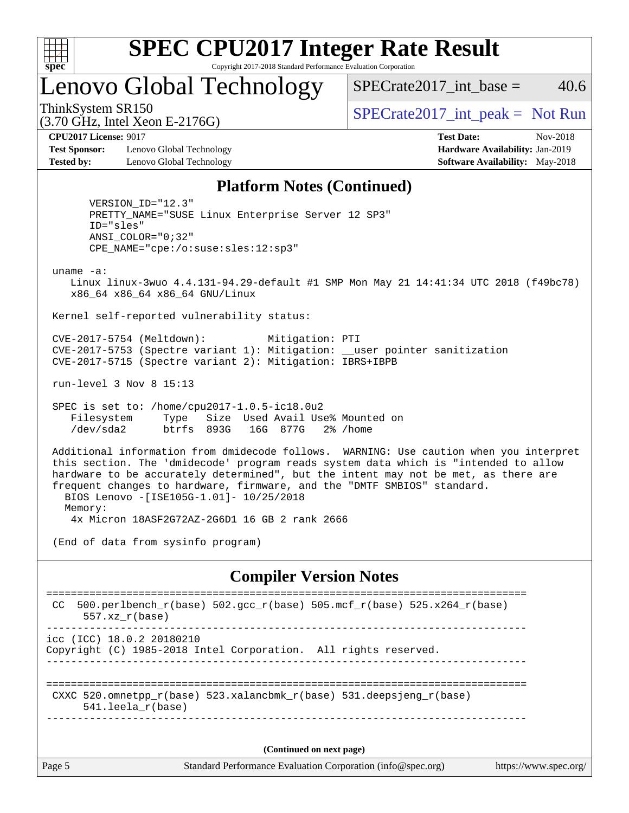

# **[SPEC CPU2017 Integer Rate Result](http://www.spec.org/auto/cpu2017/Docs/result-fields.html#SPECCPU2017IntegerRateResult)**

Copyright 2017-2018 Standard Performance Evaluation Corporation

### Lenovo Global Technology

 $SPECTate2017\_int\_base = 40.6$ 

(3.70 GHz, Intel Xeon E-2176G)

ThinkSystem SR150<br>  $SPECTR_{15}$  [SPECrate2017\\_int\\_peak =](http://www.spec.org/auto/cpu2017/Docs/result-fields.html#SPECrate2017intpeak) Not Run

**[Test Sponsor:](http://www.spec.org/auto/cpu2017/Docs/result-fields.html#TestSponsor)** Lenovo Global Technology **[Hardware Availability:](http://www.spec.org/auto/cpu2017/Docs/result-fields.html#HardwareAvailability)** Jan-2019 **[Tested by:](http://www.spec.org/auto/cpu2017/Docs/result-fields.html#Testedby)** Lenovo Global Technology **[Software Availability:](http://www.spec.org/auto/cpu2017/Docs/result-fields.html#SoftwareAvailability)** May-2018

**[CPU2017 License:](http://www.spec.org/auto/cpu2017/Docs/result-fields.html#CPU2017License)** 9017 **[Test Date:](http://www.spec.org/auto/cpu2017/Docs/result-fields.html#TestDate)** Nov-2018

#### **[Platform Notes \(Continued\)](http://www.spec.org/auto/cpu2017/Docs/result-fields.html#PlatformNotes)**

 VERSION\_ID="12.3" PRETTY\_NAME="SUSE Linux Enterprise Server 12 SP3" ID="sles" ANSI\_COLOR="0;32" CPE\_NAME="cpe:/o:suse:sles:12:sp3"

uname -a:

 Linux linux-3wuo 4.4.131-94.29-default #1 SMP Mon May 21 14:41:34 UTC 2018 (f49bc78) x86\_64 x86\_64 x86\_64 GNU/Linux

Kernel self-reported vulnerability status:

 CVE-2017-5754 (Meltdown): Mitigation: PTI CVE-2017-5753 (Spectre variant 1): Mitigation: \_\_user pointer sanitization CVE-2017-5715 (Spectre variant 2): Mitigation: IBRS+IBPB

run-level 3 Nov 8 15:13

 SPEC is set to: /home/cpu2017-1.0.5-ic18.0u2 Filesystem Type Size Used Avail Use% Mounted on /dev/sda2 btrfs 893G 16G 877G 2% /home

 Additional information from dmidecode follows. WARNING: Use caution when you interpret this section. The 'dmidecode' program reads system data which is "intended to allow hardware to be accurately determined", but the intent may not be met, as there are frequent changes to hardware, firmware, and the "DMTF SMBIOS" standard. BIOS Lenovo -[ISE105G-1.01]- 10/25/2018 Memory: 4x Micron 18ASF2G72AZ-2G6D1 16 GB 2 rank 2666

(End of data from sysinfo program)

#### **[Compiler Version Notes](http://www.spec.org/auto/cpu2017/Docs/result-fields.html#CompilerVersionNotes)**

| CC.                                                                                          | 500.perlbench_r(base) 502.gcc_r(base) 505.mcf_r(base) 525.x264_r(base)<br>$557.xx$ $r(base)$ |  |  |  |  |  |
|----------------------------------------------------------------------------------------------|----------------------------------------------------------------------------------------------|--|--|--|--|--|
|                                                                                              | icc (ICC) 18.0.2 20180210<br>Copyright (C) 1985-2018 Intel Corporation. All rights reserved. |  |  |  |  |  |
| CXXC 520.omnetpp_r(base) 523.xalancbmk_r(base) 531.deepsjeng_r(base)<br>$541.$ leela r(base) |                                                                                              |  |  |  |  |  |
| (Continued on next page)                                                                     |                                                                                              |  |  |  |  |  |
| Page 5                                                                                       | Standard Performance Evaluation Corporation (info@spec.org)<br>https://www.spec.org/         |  |  |  |  |  |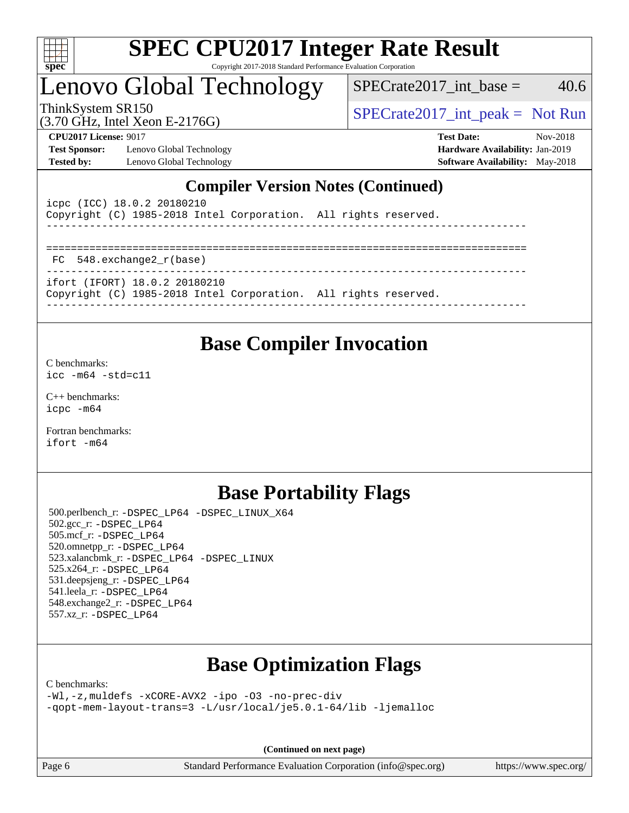

## Lenovo Global Technology

 $SPECTate2017\_int\_base = 40.6$ 

(3.70 GHz, Intel Xeon E-2176G)

ThinkSystem SR150<br>  $SPECTR_{15}$  [SPECrate2017\\_int\\_peak =](http://www.spec.org/auto/cpu2017/Docs/result-fields.html#SPECrate2017intpeak) Not Run

**[Test Sponsor:](http://www.spec.org/auto/cpu2017/Docs/result-fields.html#TestSponsor)** Lenovo Global Technology **[Hardware Availability:](http://www.spec.org/auto/cpu2017/Docs/result-fields.html#HardwareAvailability)** Jan-2019 **[Tested by:](http://www.spec.org/auto/cpu2017/Docs/result-fields.html#Testedby)** Lenovo Global Technology **[Software Availability:](http://www.spec.org/auto/cpu2017/Docs/result-fields.html#SoftwareAvailability)** May-2018

**[CPU2017 License:](http://www.spec.org/auto/cpu2017/Docs/result-fields.html#CPU2017License)** 9017 **[Test Date:](http://www.spec.org/auto/cpu2017/Docs/result-fields.html#TestDate)** Nov-2018

### **[Compiler Version Notes \(Continued\)](http://www.spec.org/auto/cpu2017/Docs/result-fields.html#CompilerVersionNotes)**

| icpc (ICC) 18.0.2 20180210 | Copyright (C) 1985-2018 Intel Corporation. All rights reserved.                                  |  |  |  |  |  |  |  |
|----------------------------|--------------------------------------------------------------------------------------------------|--|--|--|--|--|--|--|
|                            |                                                                                                  |  |  |  |  |  |  |  |
| FC 548. exchange2 r(base)  |                                                                                                  |  |  |  |  |  |  |  |
|                            | ifort (IFORT) 18.0.2 20180210<br>Copyright (C) 1985-2018 Intel Corporation. All rights reserved. |  |  |  |  |  |  |  |

### **[Base Compiler Invocation](http://www.spec.org/auto/cpu2017/Docs/result-fields.html#BaseCompilerInvocation)**

[C benchmarks](http://www.spec.org/auto/cpu2017/Docs/result-fields.html#Cbenchmarks):

[icc -m64 -std=c11](http://www.spec.org/cpu2017/results/res2018q4/cpu2017-20181113-09760.flags.html#user_CCbase_intel_icc_64bit_c11_33ee0cdaae7deeeab2a9725423ba97205ce30f63b9926c2519791662299b76a0318f32ddfffdc46587804de3178b4f9328c46fa7c2b0cd779d7a61945c91cd35)

[C++ benchmarks:](http://www.spec.org/auto/cpu2017/Docs/result-fields.html#CXXbenchmarks) [icpc -m64](http://www.spec.org/cpu2017/results/res2018q4/cpu2017-20181113-09760.flags.html#user_CXXbase_intel_icpc_64bit_4ecb2543ae3f1412ef961e0650ca070fec7b7afdcd6ed48761b84423119d1bf6bdf5cad15b44d48e7256388bc77273b966e5eb805aefd121eb22e9299b2ec9d9)

[Fortran benchmarks](http://www.spec.org/auto/cpu2017/Docs/result-fields.html#Fortranbenchmarks): [ifort -m64](http://www.spec.org/cpu2017/results/res2018q4/cpu2017-20181113-09760.flags.html#user_FCbase_intel_ifort_64bit_24f2bb282fbaeffd6157abe4f878425411749daecae9a33200eee2bee2fe76f3b89351d69a8130dd5949958ce389cf37ff59a95e7a40d588e8d3a57e0c3fd751)

### **[Base Portability Flags](http://www.spec.org/auto/cpu2017/Docs/result-fields.html#BasePortabilityFlags)**

 500.perlbench\_r: [-DSPEC\\_LP64](http://www.spec.org/cpu2017/results/res2018q4/cpu2017-20181113-09760.flags.html#b500.perlbench_r_basePORTABILITY_DSPEC_LP64) [-DSPEC\\_LINUX\\_X64](http://www.spec.org/cpu2017/results/res2018q4/cpu2017-20181113-09760.flags.html#b500.perlbench_r_baseCPORTABILITY_DSPEC_LINUX_X64) 502.gcc\_r: [-DSPEC\\_LP64](http://www.spec.org/cpu2017/results/res2018q4/cpu2017-20181113-09760.flags.html#suite_basePORTABILITY502_gcc_r_DSPEC_LP64) 505.mcf\_r: [-DSPEC\\_LP64](http://www.spec.org/cpu2017/results/res2018q4/cpu2017-20181113-09760.flags.html#suite_basePORTABILITY505_mcf_r_DSPEC_LP64) 520.omnetpp\_r: [-DSPEC\\_LP64](http://www.spec.org/cpu2017/results/res2018q4/cpu2017-20181113-09760.flags.html#suite_basePORTABILITY520_omnetpp_r_DSPEC_LP64) 523.xalancbmk\_r: [-DSPEC\\_LP64](http://www.spec.org/cpu2017/results/res2018q4/cpu2017-20181113-09760.flags.html#suite_basePORTABILITY523_xalancbmk_r_DSPEC_LP64) [-DSPEC\\_LINUX](http://www.spec.org/cpu2017/results/res2018q4/cpu2017-20181113-09760.flags.html#b523.xalancbmk_r_baseCXXPORTABILITY_DSPEC_LINUX) 525.x264\_r: [-DSPEC\\_LP64](http://www.spec.org/cpu2017/results/res2018q4/cpu2017-20181113-09760.flags.html#suite_basePORTABILITY525_x264_r_DSPEC_LP64) 531.deepsjeng\_r: [-DSPEC\\_LP64](http://www.spec.org/cpu2017/results/res2018q4/cpu2017-20181113-09760.flags.html#suite_basePORTABILITY531_deepsjeng_r_DSPEC_LP64) 541.leela\_r: [-DSPEC\\_LP64](http://www.spec.org/cpu2017/results/res2018q4/cpu2017-20181113-09760.flags.html#suite_basePORTABILITY541_leela_r_DSPEC_LP64) 548.exchange2\_r: [-DSPEC\\_LP64](http://www.spec.org/cpu2017/results/res2018q4/cpu2017-20181113-09760.flags.html#suite_basePORTABILITY548_exchange2_r_DSPEC_LP64) 557.xz\_r: [-DSPEC\\_LP64](http://www.spec.org/cpu2017/results/res2018q4/cpu2017-20181113-09760.flags.html#suite_basePORTABILITY557_xz_r_DSPEC_LP64)

### **[Base Optimization Flags](http://www.spec.org/auto/cpu2017/Docs/result-fields.html#BaseOptimizationFlags)**

[C benchmarks](http://www.spec.org/auto/cpu2017/Docs/result-fields.html#Cbenchmarks):

[-Wl,-z,muldefs](http://www.spec.org/cpu2017/results/res2018q4/cpu2017-20181113-09760.flags.html#user_CCbase_link_force_multiple1_b4cbdb97b34bdee9ceefcfe54f4c8ea74255f0b02a4b23e853cdb0e18eb4525ac79b5a88067c842dd0ee6996c24547a27a4b99331201badda8798ef8a743f577) [-xCORE-AVX2](http://www.spec.org/cpu2017/results/res2018q4/cpu2017-20181113-09760.flags.html#user_CCbase_f-xCORE-AVX2) [-ipo](http://www.spec.org/cpu2017/results/res2018q4/cpu2017-20181113-09760.flags.html#user_CCbase_f-ipo) [-O3](http://www.spec.org/cpu2017/results/res2018q4/cpu2017-20181113-09760.flags.html#user_CCbase_f-O3) [-no-prec-div](http://www.spec.org/cpu2017/results/res2018q4/cpu2017-20181113-09760.flags.html#user_CCbase_f-no-prec-div) [-qopt-mem-layout-trans=3](http://www.spec.org/cpu2017/results/res2018q4/cpu2017-20181113-09760.flags.html#user_CCbase_f-qopt-mem-layout-trans_de80db37974c74b1f0e20d883f0b675c88c3b01e9d123adea9b28688d64333345fb62bc4a798493513fdb68f60282f9a726aa07f478b2f7113531aecce732043) [-L/usr/local/je5.0.1-64/lib](http://www.spec.org/cpu2017/results/res2018q4/cpu2017-20181113-09760.flags.html#user_CCbase_jemalloc_link_path64_4b10a636b7bce113509b17f3bd0d6226c5fb2346b9178c2d0232c14f04ab830f976640479e5c33dc2bcbbdad86ecfb6634cbbd4418746f06f368b512fced5394) [-ljemalloc](http://www.spec.org/cpu2017/results/res2018q4/cpu2017-20181113-09760.flags.html#user_CCbase_jemalloc_link_lib_d1249b907c500fa1c0672f44f562e3d0f79738ae9e3c4a9c376d49f265a04b9c99b167ecedbf6711b3085be911c67ff61f150a17b3472be731631ba4d0471706)

**(Continued on next page)**

Page 6 Standard Performance Evaluation Corporation [\(info@spec.org\)](mailto:info@spec.org) <https://www.spec.org/>